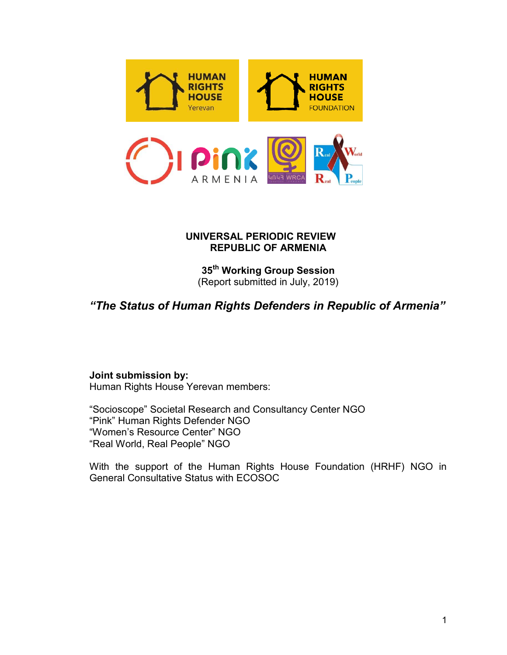

# UNIVERSAL PERIODIC REVIEW REPUBLIC OF ARMENIA

35<sup>th</sup> Working Group Session (Report submitted in July, 2019)

# "The Status of Human Rights Defenders in Republic of Armenia"

# Joint submission by:

Human Rights House Yerevan members:

"Socioscope" Societal Research and Consultancy Center NGO "Pink" Human Rights D Defender NGO "Women's Resource Center" NGO "Real World, Real People" NGO "Women's Resource Center" NGO<br>"Real World, Real People" NGO<br>With the support of the Human Rights House Foundation (HRHF) NGO in

General Consultative Status with ECOSOC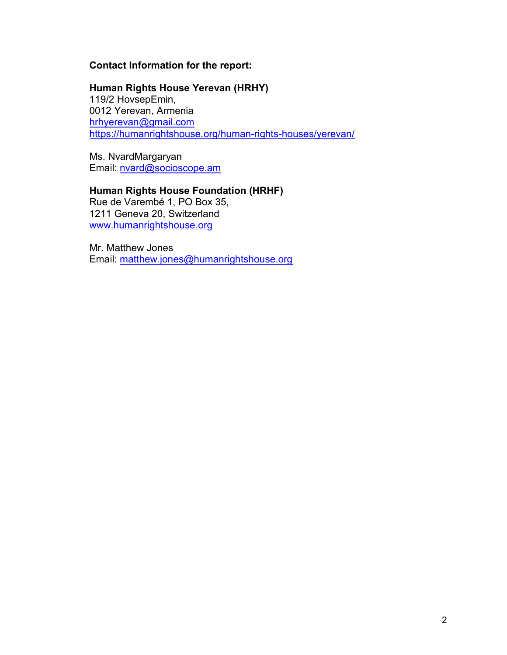# Contact Information for the report:

#### Human Rights House Yerevan (HRHY) 119/2 HovsepEmin, 0012 Yerevan, Armenia hrhyerevan@gmail.com

https://humanrightshouse.org/human-rights-houses/yerevan/

Ms. NvardMargaryan Email: nvard@socioscope.am

# Human Rights House Foundation (HRHF)

Rue de Varembé 1, PO Box 35, 1211 Geneva 20, Switzerland www.humanrightshouse.org

Mr. Matthew Jones Email: matthew.jones@humanrightshouse.org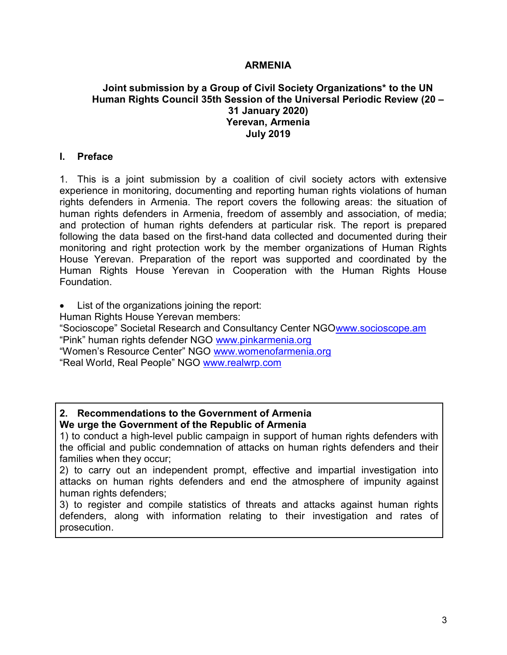#### ARMENIA

#### Joint submission by a Group of Civil Society Organizations\* to the UN Human Rights Council 35th Session of the Universal Periodic Review (20 – 31 January 2020) Yerevan, Armenia July 2019

#### I. Preface

1. This is a joint submission by a coalition of civil society actors with extensive experience in monitoring, documenting and reporting human rights violations of human rights defenders in Armenia. The report covers the following areas: the situation of human rights defenders in Armenia, freedom of assembly and association, of media; and protection of human rights defenders at particular risk. The report is prepared following the data based on the first-hand data collected and documented during their monitoring and right protection work by the member organizations of Human Rights House Yerevan. Preparation of the report was supported and coordinated by the Human Rights House Yerevan in Cooperation with the Human Rights House Foundation.

List of the organizations joining the report:

Human Rights House Yerevan members:

"Socioscope" Societal Research and Consultancy Center NGOwww.socioscope.am "Pink" human rights defender NGO www.pinkarmenia.org "Women's Resource Center" NGO www.womenofarmenia.org "Real World, Real People" NGO www.realwrp.com

## 2. Recommendations to the Government of Armenia We urge the Government of the Republic of Armenia

1) to conduct a high-level public campaign in support of human rights defenders with the official and public condemnation of attacks on human rights defenders and their families when they occur;

2) to carry out an independent prompt, effective and impartial investigation into attacks on human rights defenders and end the atmosphere of impunity against human rights defenders;

3) to register and compile statistics of threats and attacks against human rights defenders, along with information relating to their investigation and rates of prosecution.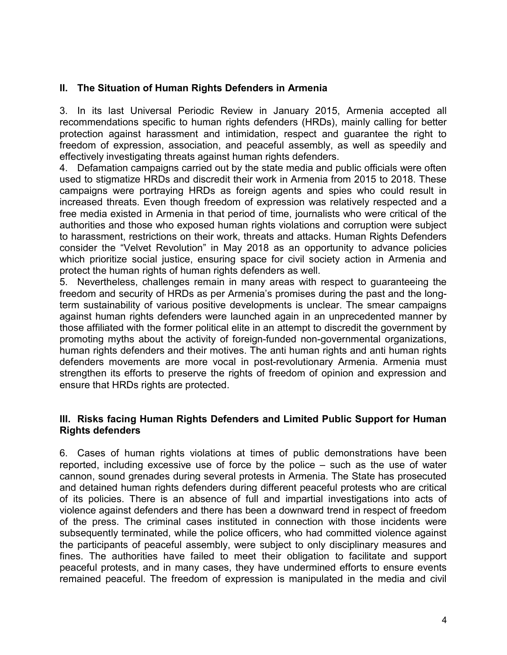# II. The Situation of Human Rights Defenders in Armenia

3. In its last Universal Periodic Review in January 2015, Armenia accepted all recommendations specific to human rights defenders (HRDs), mainly calling for better protection against harassment and intimidation, respect and guarantee the right to freedom of expression, association, and peaceful assembly, as well as speedily and effectively investigating threats against human rights defenders.

4. Defamation campaigns carried out by the state media and public officials were often used to stigmatize HRDs and discredit their work in Armenia from 2015 to 2018. These campaigns were portraying HRDs as foreign agents and spies who could result in increased threats. Even though freedom of expression was relatively respected and a free media existed in Armenia in that period of time, journalists who were critical of the authorities and those who exposed human rights violations and corruption were subject to harassment, restrictions on their work, threats and attacks. Human Rights Defenders consider the "Velvet Revolution" in May 2018 as an opportunity to advance policies which prioritize social justice, ensuring space for civil society action in Armenia and protect the human rights of human rights defenders as well.

5. Nevertheless, challenges remain in many areas with respect to guaranteeing the freedom and security of HRDs as per Armenia's promises during the past and the longterm sustainability of various positive developments is unclear. The smear campaigns against human rights defenders were launched again in an unprecedented manner by those affiliated with the former political elite in an attempt to discredit the government by promoting myths about the activity of foreign-funded non-governmental organizations, human rights defenders and their motives. The anti human rights and anti human rights defenders movements are more vocal in post-revolutionary Armenia. Armenia must strengthen its efforts to preserve the rights of freedom of opinion and expression and ensure that HRDs rights are protected.

## III. Risks facing Human Rights Defenders and Limited Public Support for Human Rights defenders

6. Cases of human rights violations at times of public demonstrations have been reported, including excessive use of force by the police – such as the use of water cannon, sound grenades during several protests in Armenia. The State has prosecuted and detained human rights defenders during different peaceful protests who are critical of its policies. There is an absence of full and impartial investigations into acts of violence against defenders and there has been a downward trend in respect of freedom of the press. The criminal cases instituted in connection with those incidents were subsequently terminated, while the police officers, who had committed violence against the participants of peaceful assembly, were subject to only disciplinary measures and fines. The authorities have failed to meet their obligation to facilitate and support peaceful protests, and in many cases, they have undermined efforts to ensure events remained peaceful. The freedom of expression is manipulated in the media and civil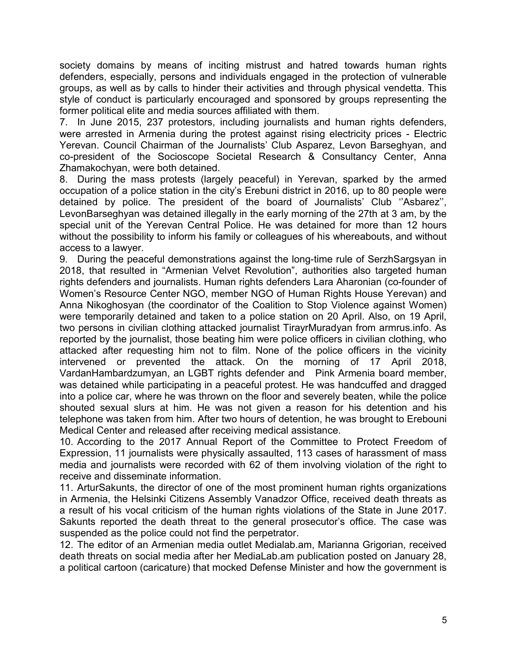society domains by means of inciting mistrust and hatred towards human rights defenders, especially, persons and individuals engaged in the protection of vulnerable groups, as well as by calls to hinder their activities and through physical vendetta. This style of conduct is particularly encouraged and sponsored by groups representing the former political elite and media sources affiliated with them.

7. In June 2015, 237 protestors, including journalists and human rights defenders, were arrested in Armenia during the protest against rising electricity prices - Electric Yerevan. Council Chairman of the Journalists' Club Asparez, Levon Barseghyan, and co-president of the Socioscope Societal Research & Consultancy Center, Anna Zhamakochyan, were both detained.

8. During the mass protests (largely peaceful) in Yerevan, sparked by the armed occupation of a police station in the city's Erebuni district in 2016, up to 80 people were detained by police. The president of the board of Journalists' Club ''Asbarez'', LevonBarseghyan was detained illegally in the early morning of the 27th at 3 am, by the special unit of the Yerevan Central Police. He was detained for more than 12 hours without the possibility to inform his family or colleagues of his whereabouts, and without access to a lawyer.

9. During the peaceful demonstrations against the long-time rule of SerzhSargsyan in 2018, that resulted in "Armenian Velvet Revolution", authorities also targeted human rights defenders and journalists. Human rights defenders Lara Aharonian (co-founder of Women's Resource Center NGO, member NGO of Human Rights House Yerevan) and Anna Nikoghosyan (the coordinator of the Coalition to Stop Violence against Women) were temporarily detained and taken to a police station on 20 April. Also, on 19 April, two persons in civilian clothing attacked journalist TirayrMuradyan from armrus.info. As reported by the journalist, those beating him were police officers in civilian clothing, who attacked after requesting him not to film. None of the police officers in the vicinity intervened or prevented the attack. On the morning of 17 April 2018, VardanHambardzumyan, an LGBT rights defender and Pink Armenia board member, was detained while participating in a peaceful protest. He was handcuffed and dragged into a police car, where he was thrown on the floor and severely beaten, while the police shouted sexual slurs at him. He was not given a reason for his detention and his telephone was taken from him. After two hours of detention, he was brought to Erebouni Medical Center and released after receiving medical assistance.

10. According to the 2017 Annual Report of the Committee to Protect Freedom of Expression, 11 journalists were physically assaulted, 113 cases of harassment of mass media and journalists were recorded with 62 of them involving violation of the right to receive and disseminate information.

11. ArturSakunts, the director of one of the most prominent human rights organizations in Armenia, the Helsinki Citizens Assembly Vanadzor Office, received death threats as a result of his vocal criticism of the human rights violations of the State in June 2017. Sakunts reported the death threat to the general prosecutor's office. The case was suspended as the police could not find the perpetrator.

12. The editor of an Armenian media outlet Medialab.am, Marianna Grigorian, received death threats on social media after her MediaLab.am publication posted on January 28, a political cartoon (caricature) that mocked Defense Minister and how the government is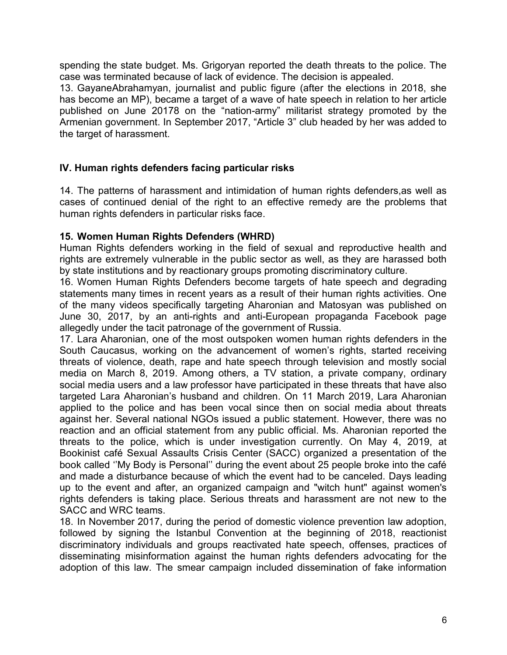spending the state budget. Ms. Grigoryan reported the death threats to the police. The case was terminated because of lack of evidence. The decision is appealed.

13. GayaneAbrahamyan, journalist and public figure (after the elections in 2018, she has become an MP), became a target of a wave of hate speech in relation to her article published on June 20178 on the "nation-army" militarist strategy promoted by the Armenian government. In September 2017, "Article 3" club headed by her was added to the target of harassment.

#### IV. Human rights defenders facing particular risks

14. The patterns of harassment and intimidation of human rights defenders,as well as cases of continued denial of the right to an effective remedy are the problems that human rights defenders in particular risks face.

#### 15. Women Human Rights Defenders (WHRD)

Human Rights defenders working in the field of sexual and reproductive health and rights are extremely vulnerable in the public sector as well, as they are harassed both by state institutions and by reactionary groups promoting discriminatory culture.

16. Women Human Rights Defenders become targets of hate speech and degrading statements many times in recent years as a result of their human rights activities. One of the many videos specifically targeting Aharonian and Matosyan was published on June 30, 2017, by an anti-rights and anti-European propaganda Facebook page allegedly under the tacit patronage of the government of Russia.

17. Lara Aharonian, one of the most outspoken women human rights defenders in the South Caucasus, working on the advancement of women's rights, started receiving threats of violence, death, rape and hate speech through television and mostly social media on March 8, 2019. Among others, a TV station, a private company, ordinary social media users and a law professor have participated in these threats that have also targeted Lara Aharonian's husband and children. On 11 March 2019, Lara Aharonian applied to the police and has been vocal since then on social media about threats against her. Several national NGOs issued a public statement. However, there was no reaction and an official statement from any public official. Ms. Aharonian reported the threats to the police, which is under investigation currently. On May 4, 2019, at Bookinist café Sexual Assaults Crisis Center (SACC) organized a presentation of the book called ''My Body is Personal'' during the event about 25 people broke into the café and made a disturbance because of which the event had to be canceled. Days leading up to the event and after, an organized campaign and "witch hunt" against women's rights defenders is taking place. Serious threats and harassment are not new to the SACC and WRC teams.

18. In November 2017, during the period of domestic violence prevention law adoption, followed by signing the Istanbul Convention at the beginning of 2018, reactionist discriminatory individuals and groups reactivated hate speech, offenses, practices of disseminating misinformation against the human rights defenders advocating for the adoption of this law. The smear campaign included dissemination of fake information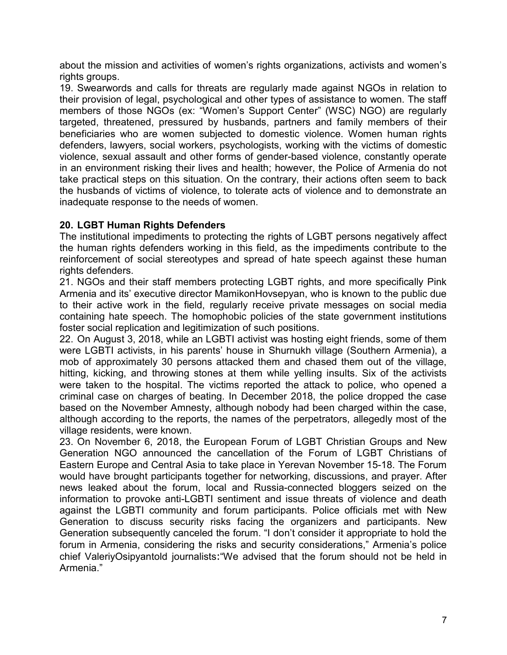about the mission and activities of women's rights organizations, activists and women's rights groups.

19. Swearwords and calls for threats are regularly made against NGOs in relation to their provision of legal, psychological and other types of assistance to women. The staff members of those NGOs (ex: "Women's Support Center" (WSC) NGO) are regularly targeted, threatened, pressured by husbands, partners and family members of their beneficiaries who are women subjected to domestic violence. Women human rights defenders, lawyers, social workers, psychologists, working with the victims of domestic violence, sexual assault and other forms of gender-based violence, constantly operate in an environment risking their lives and health; however, the Police of Armenia do not take practical steps on this situation. On the contrary, their actions often seem to back the husbands of victims of violence, to tolerate acts of violence and to demonstrate an inadequate response to the needs of women.

## 20. LGBT Human Rights Defenders

The institutional impediments to protecting the rights of LGBT persons negatively affect the human rights defenders working in this field, as the impediments contribute to the reinforcement of social stereotypes and spread of hate speech against these human rights defenders.

21. NGOs and their staff members protecting LGBT rights, and more specifically Pink Armenia and its' executive director MamikonHovsepyan, who is known to the public due to their active work in the field, regularly receive private messages on social media containing hate speech. The homophobic policies of the state government institutions foster social replication and legitimization of such positions.

22. On August 3, 2018, while an LGBTI activist was hosting eight friends, some of them were LGBTI activists, in his parents' house in Shurnukh village (Southern Armenia), a mob of approximately 30 persons attacked them and chased them out of the village, hitting, kicking, and throwing stones at them while yelling insults. Six of the activists were taken to the hospital. The victims reported the attack to police, who opened a criminal case on charges of beating. In December 2018, the police dropped the case based on the November Amnesty, although nobody had been charged within the case, although according to the reports, the names of the perpetrators, allegedly most of the village residents, were known.

23. On November 6, 2018, the European Forum of LGBT Christian Groups and New Generation NGO announced the cancellation of the Forum of LGBT Christians of Eastern Europe and Central Asia to take place in Yerevan November 15-18. The Forum would have brought participants together for networking, discussions, and prayer. After news leaked about the forum, local and Russia-connected bloggers seized on the information to provoke anti-LGBTI sentiment and issue threats of violence and death against the LGBTI community and forum participants. Police officials met with New Generation to discuss security risks facing the organizers and participants. New Generation subsequently canceled the forum. "I don't consider it appropriate to hold the forum in Armenia, considering the risks and security considerations," Armenia's police chief ValeriyOsipyantold journalists։"We advised that the forum should not be held in Armenia."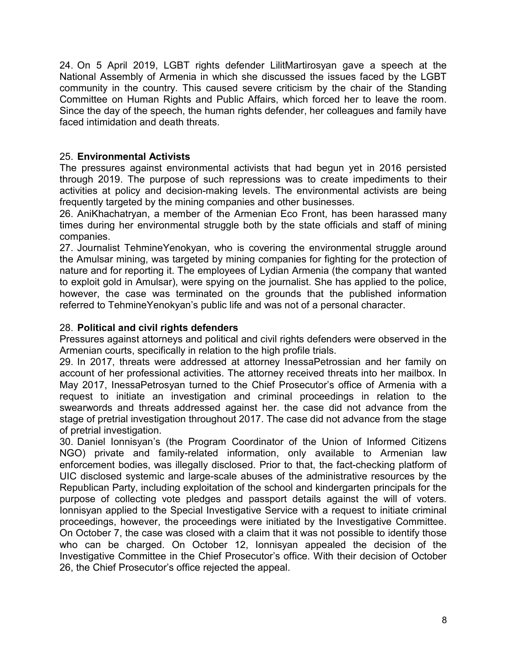24. On 5 April 2019, LGBT rights defender LilitMartirosyan gave a speech at the National Assembly of Armenia in which she discussed the issues faced by the LGBT community in the country. This caused severe criticism by the chair of the Standing Committee on Human Rights and Public Affairs, which forced her to leave the room. Since the day of the speech, the human rights defender, her colleagues and family have faced intimidation and death threats.

# 25. Environmental Activists

The pressures against environmental activists that had begun yet in 2016 persisted through 2019. The purpose of such repressions was to create impediments to their activities at policy and decision-making levels. The environmental activists are being frequently targeted by the mining companies and other businesses.

26. AniKhachatryan, a member of the Armenian Eco Front, has been harassed many times during her environmental struggle both by the state officials and staff of mining companies.

27. Journalist TehmineYenokyan, who is covering the environmental struggle around the Amulsar mining, was targeted by mining companies for fighting for the protection of nature and for reporting it. The employees of Lydian Armenia (the company that wanted to exploit gold in Amulsar), were spying on the journalist. She has applied to the police, however, the case was terminated on the grounds that the published information referred to TehmineYenokyan's public life and was not of a personal character.

# 28. Political and civil rights defenders

Pressures against attorneys and political and civil rights defenders were observed in the Armenian courts, specifically in relation to the high profile trials.

29. In 2017, threats were addressed at attorney InessaPetrossian and her family on account of her professional activities. The attorney received threats into her mailbox. In May 2017, InessaPetrosyan turned to the Chief Prosecutor's office of Armenia with a request to initiate an investigation and criminal proceedings in relation to the swearwords and threats addressed against her. the case did not advance from the stage of pretrial investigation throughout 2017. The case did not advance from the stage of pretrial investigation.

30. Daniel Ionnisyan's (the Program Coordinator of the Union of Informed Citizens NGO) private and family-related information, only available to Armenian law enforcement bodies, was illegally disclosed. Prior to that, the fact-checking platform of UIC disclosed systemic and large-scale abuses of the administrative resources by the Republican Party, including exploitation of the school and kindergarten principals for the purpose of collecting vote pledges and passport details against the will of voters. Ionnisyan applied to the Special Investigative Service with a request to initiate criminal proceedings, however, the proceedings were initiated by the Investigative Committee. On October 7, the case was closed with a claim that it was not possible to identify those who can be charged. On October 12, Ionnisyan appealed the decision of the Investigative Committee in the Chief Prosecutor's office. With their decision of October 26, the Chief Prosecutor's office rejected the appeal.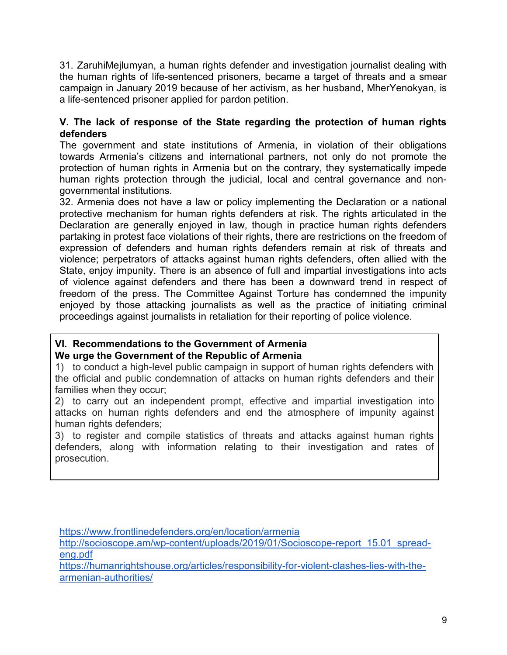31. ZaruhiMejlumyan, a human rights defender and investigation journalist dealing with the human rights of life-sentenced prisoners, became a target of threats and a smear campaign in January 2019 because of her activism, as her husband, MherYenokyan, is a life-sentenced prisoner applied for pardon petition.

## V. The lack of response of the State regarding the protection of human rights defenders

The government and state institutions of Armenia, in violation of their obligations towards Armenia's citizens and international partners, not only do not promote the protection of human rights in Armenia but on the contrary, they systematically impede human rights protection through the judicial, local and central governance and nongovernmental institutions.

32. Armenia does not have a law or policy implementing the Declaration or a national protective mechanism for human rights defenders at risk. The rights articulated in the Declaration are generally enjoyed in law, though in practice human rights defenders partaking in protest face violations of their rights, there are restrictions on the freedom of expression of defenders and human rights defenders remain at risk of threats and violence; perpetrators of attacks against human rights defenders, often allied with the State, enjoy impunity. There is an absence of full and impartial investigations into acts of violence against defenders and there has been a downward trend in respect of freedom of the press. The Committee Against Torture has condemned the impunity enjoyed by those attacking journalists as well as the practice of initiating criminal proceedings against journalists in retaliation for their reporting of police violence.

## VI. Recommendations to the Government of Armenia We urge the Government of the Republic of Armenia

1) to conduct a high-level public campaign in support of human rights defenders with the official and public condemnation of attacks on human rights defenders and their families when they occur;

2) to carry out an independent prompt, effective and impartial investigation into attacks on human rights defenders and end the atmosphere of impunity against human rights defenders:

3) to register and compile statistics of threats and attacks against human rights defenders, along with information relating to their investigation and rates of prosecution.

https://www.frontlinedefenders.org/en/location/armenia

http://socioscope.am/wp-content/uploads/2019/01/Socioscope-report\_15.01\_spreadeng.pdf

https://humanrightshouse.org/articles/responsibility-for-violent-clashes-lies-with-thearmenian-authorities/